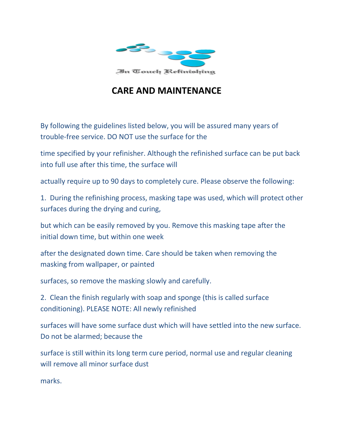

## **CARE AND MAINTENANCE**

By following the guidelines listed below, you will be assured many years of trouble-free service. DO NOT use the surface for the

time specified by your refinisher. Although the refinished surface can be put back into full use after this time, the surface will

actually require up to 90 days to completely cure. Please observe the following:

1. During the refinishing process, masking tape was used, which will protect other surfaces during the drying and curing,

but which can be easily removed by you. Remove this masking tape after the initial down time, but within one week

after the designated down time. Care should be taken when removing the masking from wallpaper, or painted

surfaces, so remove the masking slowly and carefully.

2. Clean the finish regularly with soap and sponge (this is called surface conditioning). PLEASE NOTE: All newly refinished

surfaces will have some surface dust which will have settled into the new surface. Do not be alarmed; because the

surface is still within its long term cure period, normal use and regular cleaning will remove all minor surface dust

marks.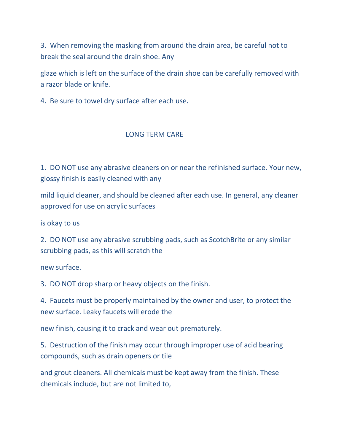3. When removing the masking from around the drain area, be careful not to break the seal around the drain shoe. Any

glaze which is left on the surface of the drain shoe can be carefully removed with a razor blade or knife.

4. Be sure to towel dry surface after each use.

## LONG TERM CARE

1. DO NOT use any abrasive cleaners on or near the refinished surface. Your new, glossy finish is easily cleaned with any

mild liquid cleaner, and should be cleaned after each use. In general, any cleaner approved for use on acrylic surfaces

is okay to us

2. DO NOT use any abrasive scrubbing pads, such as ScotchBrite or any similar scrubbing pads, as this will scratch the

new surface.

3. DO NOT drop sharp or heavy objects on the finish.

4. Faucets must be properly maintained by the owner and user, to protect the new surface. Leaky faucets will erode the

new finish, causing it to crack and wear out prematurely.

5. Destruction of the finish may occur through improper use of acid bearing compounds, such as drain openers or tile

and grout cleaners. All chemicals must be kept away from the finish. These chemicals include, but are not limited to,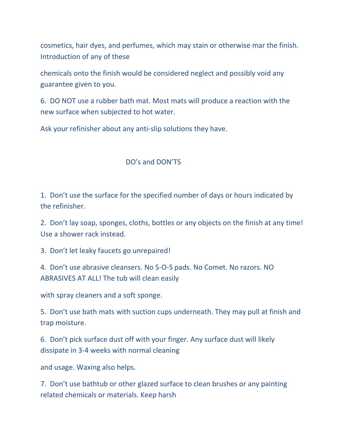cosmetics, hair dyes, and perfumes, which may stain or otherwise mar the finish. Introduction of any of these

chemicals onto the finish would be considered neglect and possibly void any guarantee given to you.

6. DO NOT use a rubber bath mat. Most mats will produce a reaction with the new surface when subjected to hot water.

Ask your refinisher about any anti-slip solutions they have.

## DO's and DON'TS

1. Don't use the surface for the specified number of days or hours indicated by the refinisher.

2. Don't lay soap, sponges, cloths, bottles or any objects on the finish at any time! Use a shower rack instead.

3. Don't let leaky faucets go unrepaired!

4. Don't use abrasive cleansers. No S-O-S pads. No Comet. No razors. NO ABRASIVES AT ALL! The tub will clean easily

with spray cleaners and a soft sponge.

5. Don't use bath mats with suction cups underneath. They may pull at finish and trap moisture.

6. Don't pick surface dust off with your finger. Any surface dust will likely dissipate in 3-4 weeks with normal cleaning

and usage. Waxing also helps.

7. Don't use bathtub or other glazed surface to clean brushes or any painting related chemicals or materials. Keep harsh